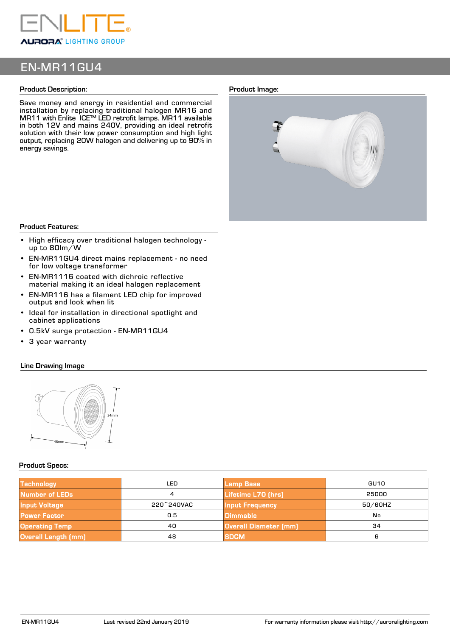

# EN-MR11GU4

## **Product Description:**

Save money and energy in residential and commercial installation by replacing traditional halogen MR16 and MR11 with Enlite ICE™ LED retrofit lamps. MR11 available in both 12V and mains 240V, providing an ideal retrofit solution with their low power consumption and high light output, replacing 20W halogen and delivering up to 90% in energy savings.

### **Product Image:**



#### **Product Features:**

- High efficacy over traditional halogen technology up to 80lm/W
- EN-MR11GU4 direct mains replacement no need for low voltage transformer
- EN-MR1116 coated with dichroic reflective material making it an ideal halogen replacement
- EN-MR116 has a filament LED chip for improved output and look when lit
- Ideal for installation in directional spotlight and cabinet applications
- 0.5kV surge protection EN-MR11GU4
- 3 year warranty

# **Line Drawing Image**



## **Product Specs:**

| <b>Technology</b>     | LED        | Lamp Base                    | GU10    |  |
|-----------------------|------------|------------------------------|---------|--|
| Number of LEDs        | 4          | Lifetime L70 (hrs)           | 25000   |  |
| <b>Input Voltage</b>  | 220~240VAC | <b>Input Frequency</b>       | 50/60HZ |  |
| <b>Power Factor</b>   | 0.5        | <b>Dimmable</b>              | No      |  |
| <b>Operating Temp</b> | 40         | <b>Overall Diameter (mm)</b> | 34      |  |
| Overall Length (mm)   | 48         | <b>SDCM</b>                  | 6       |  |